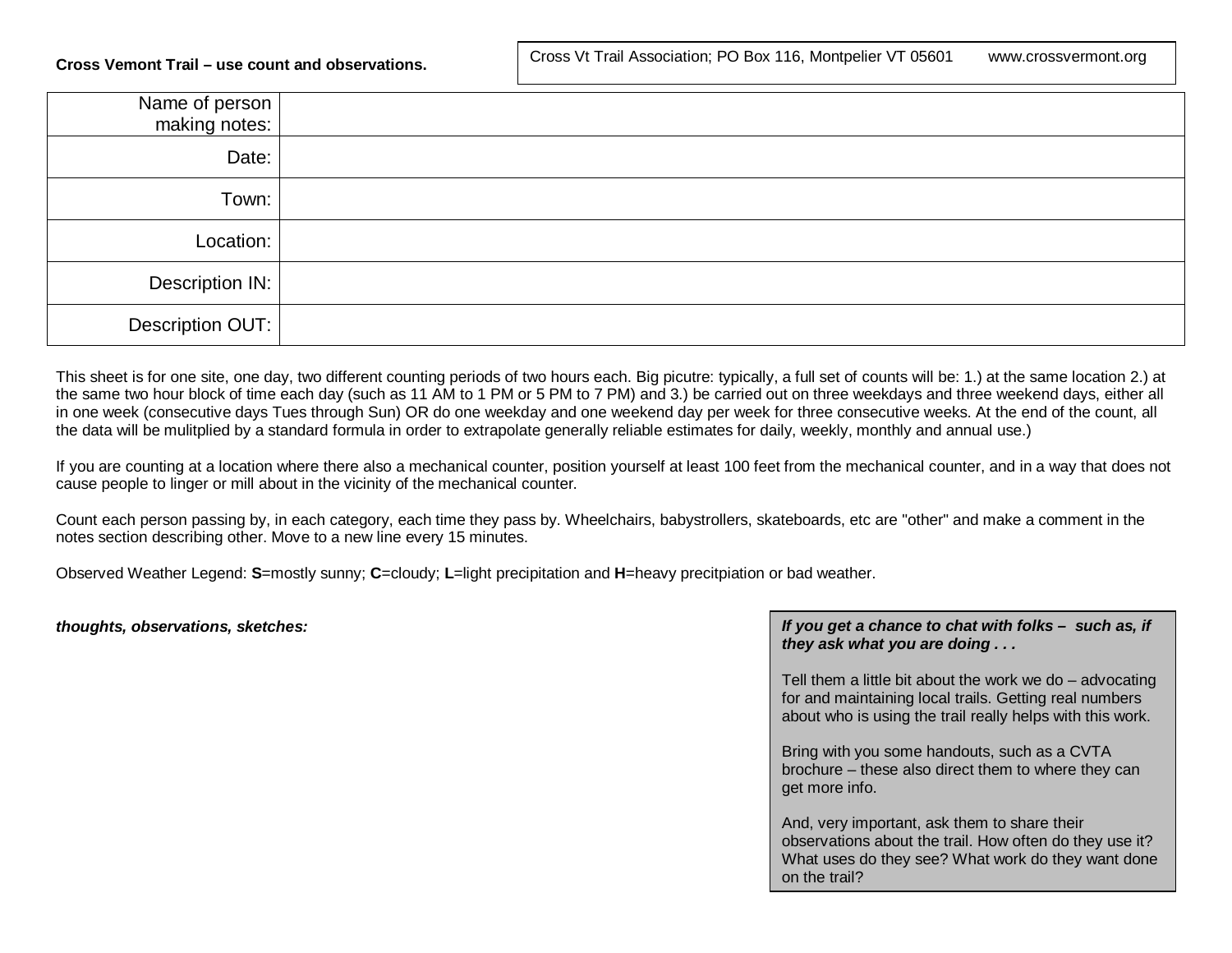| Name of person<br>making notes: |  |
|---------------------------------|--|
| Date:                           |  |
| Town:                           |  |
| Location:                       |  |
| Description IN:                 |  |
| Description OUT:                |  |

This sheet is for one site, one day, two different counting periods of two hours each. Big picutre: typically, a full set of counts will be: 1.) at the same location 2.) at the same two hour block of time each day (such as 11 AM to 1 PM or 5 PM to 7 PM) and 3.) be carried out on three weekdays and three weekend days, either all in one week (consecutive days Tues through Sun) OR do one weekday and one weekend day per week for three consecutive weeks. At the end of the count, all the data will be mulitplied by a standard formula in order to extrapolate generally reliable estimates for daily, weekly, monthly and annual use.)

If you are counting at a location where there also a mechanical counter, position yourself at least 100 feet from the mechanical counter, and in a way that does not cause people to linger or mill about in the vicinity of the mechanical counter.

Count each person passing by, in each category, each time they pass by. Wheelchairs, babystrollers, skateboards, etc are "other" and make a comment in the notes section describing other. Move to a new line every 15 minutes.

Observed Weather Legend: **S**=mostly sunny; **C**=cloudy; **L**=light precipitation and **H**=heavy precitpiation or bad weather.

## *thoughts, observations, sketches: If you get a chance to chat with folks – such as, if they ask what you are doing . . .*

Tell them a little bit about the work we do – advocating for and maintaining local trails. Getting real numbers about who is using the trail really helps with this work.

Bring with you some handouts, such as a CVTA brochure – these also direct them to where they can get more info.

And, very important, ask them to share their observations about the trail. How often do they use it? What uses do they see? What work do they want done on the trail?